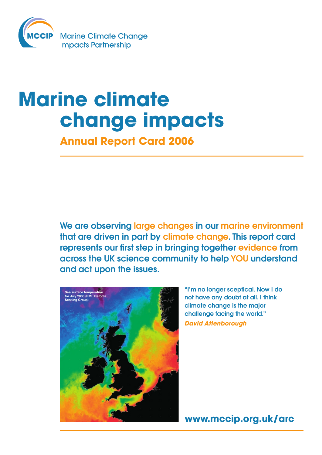

# **Marine climate change impacts**

**Annual Report Card 2006**

We are observing large changes in our marine environment that are driven in part by climate change. This report card represents our first step in bringing together evidence from across the UK science community to help YOU understand and act upon the issues.



"I'm no longer sceptical. Now I do not have any doubt at all. I think climate change is the major challenge facing the world." *David Attenborough*

**www.mccip.org.uk/arc**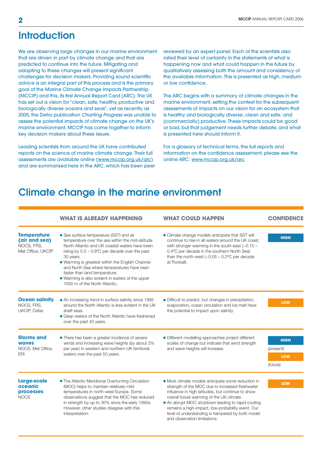# **Introduction**

We are observing large changes in our marine environment that are driven in part by climate change and that are predicted to continue into the future. Mitigating and adapting to these changes will present significant challenges for decision makers. Providing sound scientific advice is an integral part of this process and is the primary goal of the Marine Climate Change Impacts Partnership (MCCIP) and this, its first Annual Report Card (ARC). The UK has set out a vision for "clean, safe, healthy, productive and biologically diverse oceans and seas", yet as recently as 2005, the Defra publication *Charting Progress* was unable to assess the potential impacts of climate change on the UK's marine environment. MCCIP has come together to inform key decision makers about these issues.

Leading scientists from around the UK have contributed reports on the science of marine climate change. Their full assessments are available online (www.mccip.org.uk/arc) and are summarised here in the ARC, which has been peer reviewed by an expert panel. Each of the scientists also rated their level of certainty in the statements of what is happening now and what could happen in the future by qualitatively assessing both the amount and consistency of the available information. This is presented as high, medium or low confidence.

The ARC begins with a summary of climate changes in the marine environment, setting the context for the subsequent assessments of impacts on our vision for an ecosystem that is healthy and biologically diverse; clean and safe; and (commercially) productive. These impacts could be good or bad, but that judgement needs further debate, and what is presented here should inform it.

For a glossary of technical terms, the full reports and information on the confidence assessment, please see the online ARC: www.mccip.org.uk/arc

# Climate change in the marine environment

|                                                                        | <b>WHAT IS ALREADY HAPPENING</b>                                                                                                                                                                                                                                                                                                                                                                                                         | <b>WHAT COULD HAPPEN</b>                                                                                                                                                                                                                                                                                                                                                                              | <b>CONFIDENCE</b>                                  |
|------------------------------------------------------------------------|------------------------------------------------------------------------------------------------------------------------------------------------------------------------------------------------------------------------------------------------------------------------------------------------------------------------------------------------------------------------------------------------------------------------------------------|-------------------------------------------------------------------------------------------------------------------------------------------------------------------------------------------------------------------------------------------------------------------------------------------------------------------------------------------------------------------------------------------------------|----------------------------------------------------|
| <b>Temperature</b><br>(air and sea)<br>NOCS, FRS,<br>Met Office, UKCIP | • Sea surface temperature (SST) and air<br>temperature over the sea within the mid-latitude<br>North Atlantic and UK coastal waters have been<br>rising by $0.2 - 0.6$ °C per decade over the past<br>30 years.<br>. Warming is greatest within the English Channel<br>and North Sea where temperatures have risen<br>faster than land temperature.<br>• Warming is also evident in waters of the upper<br>1500 m of the North Atlantic. | • Climate change models anticipate that SST will<br>continue to rise in all waters around the UK coast,<br>with stronger warming in the south-east $(-0.15 -$<br>0.4°C per decade in the southern North Sea)<br>than the north-west $(-0.05 - 0.2$ °C per decade<br>at Rockall).                                                                                                                      | <b>HIGH</b>                                        |
| <b>Ocean salinity</b><br>NOCS, FRS,<br>UKCIP, Cefas                    | • An increasing trend in surface salinity since 1995<br>around the North Atlantic is less evident in the UK<br>shelf-seas.<br>• Deep waters of the North Atlantic have freshened<br>over the past 40 years.                                                                                                                                                                                                                              | • Difficult to predict, but changes in precipitation,<br>evaporation, ocean circulation and ice melt have<br>the potential to impact upon salinity.                                                                                                                                                                                                                                                   | <b>LOW</b>                                         |
| <b>Storms and</b><br><b>waves</b><br>NOCS, Met Office,<br><b>ERI</b>   | • There has been a greater incidence of severe<br>winds and increasing wave heights (by about 2%<br>per year) in western and northern UK territorial<br>waters over the past 50 years.                                                                                                                                                                                                                                                   | • Different modelling approaches project different<br>scales of change but indicate that wind strength<br>and wave heights will increase.                                                                                                                                                                                                                                                             | <b>HIGH</b><br>(present)<br><b>LOW</b><br>(future) |
| Large-scale<br>oceanic<br><b>processes</b><br><b>NOCS</b>              | • The Atlantic Meridional Overturning Circulation<br>(MOC) helps to maintain relatively mild<br>temperatures in north-west Europe. Some<br>observations suggest that the MOC has reduced<br>in strength by up to 30% since the early 1990s.<br>However, other studies disagree with this<br>interpretation.                                                                                                                              | • Most climate models anticipate some reduction in<br>strength of the MOC due to increased freshwater<br>influence in high latitudes, but continue to show<br>overall future warming of the UK climate.<br>. An abrupt MOC shutdown leading to rapid cooling<br>remains a high-impact, low-probability event. Our<br>level of understanding is hampered by both model<br>and observation limitations. | LOW                                                |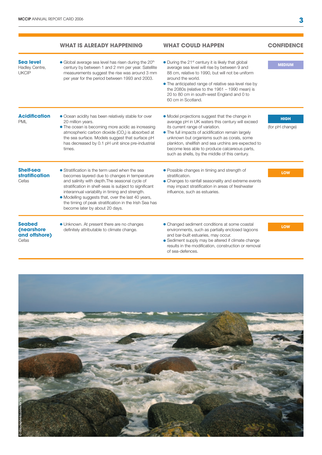|                                                       | <b>WHAT IS ALREADY HAPPENING</b>                                                                                                                                                                                                                                                                                                                                                                                 | <b>WHAT COULD HAPPEN</b>                                                                                                                                                                                                                                                                                                                                                                            | <b>CONFIDENCE</b>              |
|-------------------------------------------------------|------------------------------------------------------------------------------------------------------------------------------------------------------------------------------------------------------------------------------------------------------------------------------------------------------------------------------------------------------------------------------------------------------------------|-----------------------------------------------------------------------------------------------------------------------------------------------------------------------------------------------------------------------------------------------------------------------------------------------------------------------------------------------------------------------------------------------------|--------------------------------|
| <b>Sea level</b><br>Hadley Centre,<br><b>UKCIP</b>    | • Global average sea level has risen during the 20 <sup>th</sup><br>century by between 1 and 2 mm per year. Satellite<br>measurements suggest the rise was around 3 mm<br>per year for the period between 1993 and 2003.                                                                                                                                                                                         | • During the 21 <sup>st</sup> century it is likely that global<br>average sea level will rise by between 9 and<br>88 cm, relative to 1990, but will not be uniform<br>around the world.<br>• The anticipated range of relative sea-level rise by<br>the 2080s (relative to the $1961 - 1990$ mean) is<br>20 to 80 cm in south-west England and 0 to<br>60 cm in Scotland.                           | <b>MEDIUM</b>                  |
| <b>Acidification</b><br><b>PML</b>                    | • Ocean acidity has been relatively stable for over<br>20 million years.<br>• The ocean is becoming more acidic as increasing<br>atmospheric carbon dioxide (CO <sub>2</sub> ) is absorbed at<br>the sea surface. Models suggest that surface pH<br>has decreased by 0.1 pH unit since pre-industrial<br>times.                                                                                                  | • Model projections suggest that the change in<br>average pH in UK waters this century will exceed<br>its current range of variation.<br>. The full impacts of acidification remain largely<br>unknown but organisms such as corals, some<br>plankton, shellfish and sea urchins are expected to<br>become less able to produce calcareous parts,<br>such as shells, by the middle of this century. | <b>HIGH</b><br>(for pH change) |
| <b>Shelf-sea</b><br><b>stratification</b><br>Cefas    | • Stratification is the term used when the sea<br>becomes layered due to changes in temperature<br>and salinity with depth. The seasonal cycle of<br>stratification in shelf-seas is subject to significant<br>interannual variability in timing and strength.<br>• Modelling suggests that, over the last 40 years,<br>the timing of peak stratification in the Irish Sea has<br>become later by about 20 days. | • Possible changes in timing and strength of<br>stratification.<br>• Changes to rainfall seasonality and extreme events<br>may impact stratification in areas of freshwater<br>influence, such as estuaries.                                                                                                                                                                                        | <b>LOW</b>                     |
| <b>Seabed</b><br>(nearshore<br>and offshore)<br>Cefas | • Unknown. At present there are no changes<br>definitely attributable to climate change.                                                                                                                                                                                                                                                                                                                         | • Changed sediment conditions at some coastal<br>environments, such as partially enclosed lagoons<br>and bar-built estuaries, may occur.<br>• Sediment supply may be altered if climate change<br>results in the modification, construction or removal<br>of sea-defences.                                                                                                                          | LOW                            |

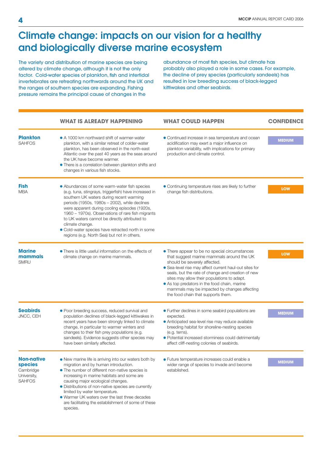# Climate change: impacts on our vision for a healthy and biologically diverse marine ecosystem

The variety and distribution of marine species are being altered by climate change, although it is not the only factor. Cold-water species of plankton, fish and intertidal invertebrates are retreating northwards around the UK and the ranges of southern species are expanding. Fishing pressure remains the principal cause of changes in the

abundance of most fish species, but climate has probably also played a role in some cases. For example, the decline of prey species (particularly sandeels) has resulted in low breeding success of black-legged kittiwakes and other seabirds.

|                                                                                  | <b>WHAT IS ALREADY HAPPENING</b>                                                                                                                                                                                                                                                                                                                                                                                                                                                 | <b>WHAT COULD HAPPEN</b>                                                                                                                                                                                                                                                                                                                                                                                                       | <b>CONFIDENCE</b> |
|----------------------------------------------------------------------------------|----------------------------------------------------------------------------------------------------------------------------------------------------------------------------------------------------------------------------------------------------------------------------------------------------------------------------------------------------------------------------------------------------------------------------------------------------------------------------------|--------------------------------------------------------------------------------------------------------------------------------------------------------------------------------------------------------------------------------------------------------------------------------------------------------------------------------------------------------------------------------------------------------------------------------|-------------------|
| <b>Plankton</b><br><b>SAHFOS</b>                                                 | • A 1000 km northward shift of warmer-water<br>plankton, with a similar retreat of colder-water<br>plankton, has been observed in the north-east<br>Atlantic over the past 40 years as the seas around<br>the UK have become warmer.<br>• There is a correlation between plankton shifts and<br>changes in various fish stocks.                                                                                                                                                  | • Continued increase in sea temperature and ocean<br>acidification may exert a major influence on<br>plankton variability, with implications for primary<br>production and climate control.                                                                                                                                                                                                                                    | <b>MEDIUM</b>     |
| <b>Fish</b><br><b>MBA</b>                                                        | • Abundances of some warm-water fish species<br>(e.g. tuna, stingrays, triggerfish) have increased in<br>southern UK waters during recent warming<br>periods (1950s, 1980s - 2002), while declines<br>were apparent during cooling episodes (1920s,<br>1960 - 1970s). Observations of rare fish migrants<br>to UK waters cannot be directly attributed to<br>climate change.<br>· Cold-water species have retracted north in some<br>regions (e.g. North Sea) but not in others. | • Continuing temperature rises are likely to further<br>change fish distributions.                                                                                                                                                                                                                                                                                                                                             | <b>LOW</b>        |
| <b>Marine</b><br>mammals<br><b>SMRU</b>                                          | • There is little useful information on the effects of<br>climate change on marine mammals.                                                                                                                                                                                                                                                                                                                                                                                      | • There appear to be no special circumstances<br>that suggest marine mammals around the UK<br>should be severely affected.<br>• Sea-level rise may affect current haul-out sites for<br>seals, but the rate of change and creation of new<br>sites may allow their populations to adapt.<br>• As top predators in the food chain, marine<br>mammals may be impacted by changes affecting<br>the food chain that supports them. | <b>LOW</b>        |
| <b>Seabirds</b><br>JNCC, CEH                                                     | · Poor breeding success, reduced survival and<br>population declines of black-legged kittiwakes in<br>recent years have been strongly linked to climate<br>change, in particular to warmer winters and<br>changes to their fish prey populations (e.g.<br>sandeels). Evidence suggests other species may<br>have been similarly affected.                                                                                                                                        | • Further declines in some seabird populations are<br>expected.<br>• Anticipated sea-level rise may reduce available<br>breeding habitat for shoreline-nesting species<br>(e.g. terns).<br>· Potential increased storminess could detrimentally<br>affect cliff-nesting colonies of seabirds.                                                                                                                                  | <b>MEDIUM</b>     |
| <b>Non-native</b><br><b>species</b><br>Cambridge<br>University,<br><b>SAHFOS</b> | • New marine life is arriving into our waters both by<br>migration and by human introduction.<br>• The number of different non-native species is<br>increasing in marine habitats and some are<br>causing major ecological changes.<br>• Distributions of non-native species are currently<br>limited by water temperature.<br>• Warmer UK waters over the last three decades<br>are facilitating the establishment of some of these<br>species.                                 | · Future temperature increases could enable a<br>wider range of species to invade and become<br>established.                                                                                                                                                                                                                                                                                                                   | <b>MEDIUM</b>     |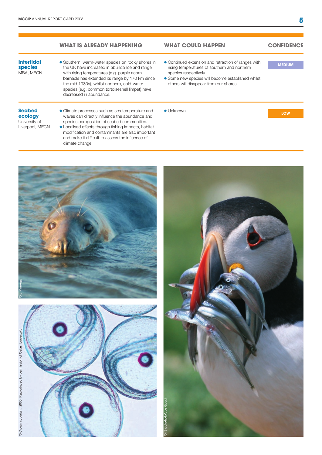### **what is already happening**

### **Intertidal species** MBA, MECN

**Seabed ecology**  University of Liverpool, MECN **.** Southern, warm-water species on rocky shores in the UK have increased in abundance and range with rising temperatures (e.g. purple acorn barnacle has extended its range by 170 km since the mid 1980s), whilst northern, cold-water species (e.g. common tortoiseshell limpet) have decreased in abundance.

• Climate processes such as sea temperature and waves can directly influence the abundance and species composition of seabed communities. l Localised effects through fishing impacts, habitat modification and contaminants are also important and make it difficult to assess the influence of

### **what could happen**

# **confidence**

**medium**

- Continued extension and retraction of ranges with rising temperatures of southern and northern species respectively.
- **.** Some new species will become established whilst others will disappear from our shores.
- **· Unknown.**

**low**

# © J Pinnegar

climate change.





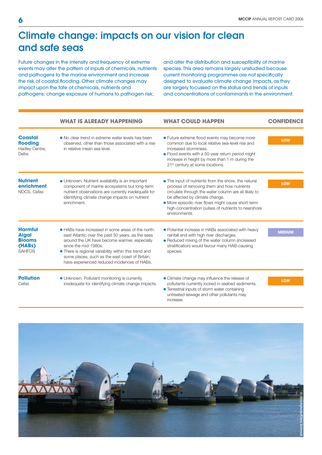# Climate change: impacts on our vision for clean and safe seas

Future changes in the intensity and frequency of extreme events may alter the pattern of inputs of chemicals, nutrients and pathogens to the marine environment and increase the risk of coastal flooding. Other climate changes may impact upon the fate of chemicals, nutrients and pathogens; change exposure of humans to pathogen risk;

and alter the distribution and susceptibility of marine species. This area remains largely unstudied because current monitoring programmes are not specifically designed to evaluate climate change impacts, as they are largely focussed on the status and trends of inputs and concentrations of contaminants in the environment.

|                                                                            | <b>WHAT IS ALREADY HAPPENING</b>                                                                                                                                                                                                                                                                                                           | <b>WHAT COULD HAPPEN</b>                                                                                                                                                                                                                                                                                                   | <b>CONFIDENCE</b> |
|----------------------------------------------------------------------------|--------------------------------------------------------------------------------------------------------------------------------------------------------------------------------------------------------------------------------------------------------------------------------------------------------------------------------------------|----------------------------------------------------------------------------------------------------------------------------------------------------------------------------------------------------------------------------------------------------------------------------------------------------------------------------|-------------------|
| <b>Coastal</b><br>flooding<br>Hadley Centre,<br>Defra                      | • No clear trend in extreme water levels has been<br>observed, other than those associated with a rise<br>in relative mean sea level.                                                                                                                                                                                                      | • Future extreme flood events may become more<br>common due to local relative sea-level rise and<br>increased storminess.<br>• Flood events with a 50-year return period might<br>increase in height by more than 1 m during the<br>21 <sup>st</sup> century at some locations.                                            | LOW               |
| <b>Nutrient</b><br>enrichment<br>NOCS, Cefas                               | • Unknown. Nutrient availability is an important<br>component of marine ecosystems but long-term<br>nutrient observations are currently inadequate for<br>identifying climate change impacts on nutrient<br>enrichment.                                                                                                                    | • The input of nutrients from the shore, the natural<br>process of removing them and how nutrients<br>circulate through the water column are all likely to<br>be affected by climate change.<br>• More episodic river flows might cause short-term<br>high-concentration pulses of nutrients to nearshore<br>environments. | <b>LOW</b>        |
| <b>Harmful</b><br><b>Algal</b><br><b>Blooms</b><br>(HABs)<br><b>SAHFOS</b> | • HABs have increased in some areas of the north-<br>east Atlantic over the past 50 years, as the seas<br>around the UK have become warmer, especially<br>since the mid-1980s.<br>• There is regional variability within this trend and<br>some places, such as the east coast of Britain,<br>have experienced reduced incidences of HABs. | · Potential increase in HABs associated with heavy<br>rainfall and with high river discharges.<br>• Reduced mixing of the water column (increased<br>stratification) would favour many HAB-causing<br>species.                                                                                                             | <b>MEDIUM</b>     |
| <b>Pollution</b><br>Cefas                                                  | • Unknown. Pollutant monitoring is currently<br>inadequate for identifying climate change impacts.                                                                                                                                                                                                                                         | • Climate change may influence the release of<br>pollutants currently locked in seabed sediments.<br>• Terrestrial inputs of storm water containing<br>untreated sewage and other pollutants may<br>increase.                                                                                                              | LOW               |

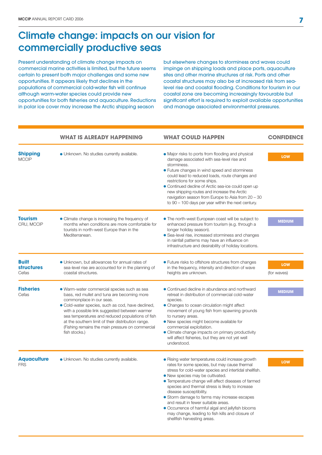# Climate change: impacts on our vision for commercially productive seas

Present understanding of climate change impacts on commercial marine activities is limited, but the future seems certain to present both major challenges and some new opportunities. It appears likely that declines in the populations of commercial cold-water fish will continue although warm-water species could provide new opportunities for both fisheries and aquaculture. Reductions in polar ice cover may increase the Arctic shipping season

but elsewhere changes to storminess and waves could impinge on shipping loads and place ports, aquaculture sites and other marine structures at risk. Ports and other coastal structures may also be at increased risk from sealevel rise and coastal flooding. Conditions for tourism in our coastal zone are becoming increasingly favourable but significant effort is required to exploit available opportunities and manage associated environmental pressures.

|                                            | <b>WHAT IS ALREADY HAPPENING</b>                                                                                                                                                                                                                                                                                                                                                                            | <b>WHAT COULD HAPPEN</b>                                                                                                                                                                                                                                                                                                                                                                                                                                                                                                                                                | <b>CONFIDENCE</b>         |
|--------------------------------------------|-------------------------------------------------------------------------------------------------------------------------------------------------------------------------------------------------------------------------------------------------------------------------------------------------------------------------------------------------------------------------------------------------------------|-------------------------------------------------------------------------------------------------------------------------------------------------------------------------------------------------------------------------------------------------------------------------------------------------------------------------------------------------------------------------------------------------------------------------------------------------------------------------------------------------------------------------------------------------------------------------|---------------------------|
| <b>Shipping</b><br><b>MCCIP</b>            | · Unknown. No studies currently available.                                                                                                                                                                                                                                                                                                                                                                  | • Major risks to ports from flooding and physical<br>damage associated with sea-level rise and<br>storminess.<br>• Future changes in wind speed and storminess<br>could lead to reduced loads, route changes and<br>restrictions for some ships.<br>• Continued decline of Arctic sea-ice could open up<br>new shipping routes and increase the Arctic<br>navigation season from Europe to Asia from 20 - 30<br>to $90 - 100$ days per year within the next century.                                                                                                    | <b>LOW</b>                |
| <b>Tourism</b><br>CRU, MCCIP               | • Climate change is increasing the frequency of<br>months when conditions are more comfortable for<br>tourists in north-west Europe than in the<br>Mediterranean.                                                                                                                                                                                                                                           | • The north-west European coast will be subject to<br>enhanced pressure from tourism (e.g. through a<br>longer holiday season).<br>• Sea-level rise, increased storminess and changes<br>in rainfall patterns may have an influence on<br>infrastructure and desirability of holiday locations.                                                                                                                                                                                                                                                                         | <b>MEDIUM</b>             |
| <b>Built</b><br><b>structures</b><br>Cefas | • Unknown, but allowances for annual rates of<br>sea-level rise are accounted for in the planning of<br>coastal structures.                                                                                                                                                                                                                                                                                 | • Future risks to offshore structures from changes<br>in the frequency, intensity and direction of wave<br>heights are unknown.                                                                                                                                                                                                                                                                                                                                                                                                                                         | <b>LOW</b><br>(for waves) |
| <b>Fisheries</b><br>Cefas                  | · Warm-water commercial species such as sea<br>bass, red mullet and tuna are becoming more<br>commonplace in our seas.<br>· Cold-water species, such as cod, have declined,<br>with a possible link suggested between warmer<br>sea temperatures and reduced populations of fish<br>at the southern limit of their distribution range.<br>(Fishing remains the main pressure on commercial<br>fish stocks.) | • Continued decline in abundance and northward<br>retreat in distribution of commercial cold-water<br>species.<br>• Changes to ocean circulation might affect<br>movement of young fish from spawning grounds<br>to nursery areas.<br>• New species might become available for<br>commercial exploitation.<br>• Climate change impacts on primary productivity<br>will affect fisheries, but they are not yet well<br>understood.                                                                                                                                       | <b>MEDIUM</b>             |
| <b>Aquaculture</b><br><b>FRS</b>           | · Unknown. No studies currently available.                                                                                                                                                                                                                                                                                                                                                                  | • Rising water temperatures could increase growth<br>rates for some species, but may cause thermal<br>stress for cold-water species and intertidal shellfish.<br>• New species may be cultivated.<br>• Temperature change will affect diseases of farmed<br>species and thermal stress is likely to increase<br>disease susceptibility.<br>• Storm damage to farms may increase escapes<br>and result in fewer suitable areas.<br>• Occurrence of harmful algal and jellyfish blooms<br>may change, leading to fish kills and closure of<br>shellfish harvesting areas. | <b>LOW</b>                |